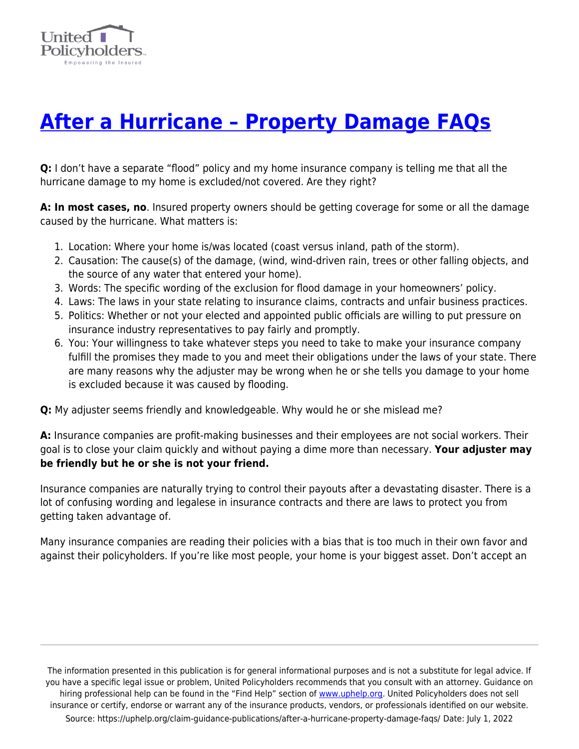

## **[After a Hurricane – Property Damage FAQs](https://uphelp.org/claim-guidance-publications/after-a-hurricane-property-damage-faqs/)**

**Q:** I don't have a separate "flood" policy and my home insurance company is telling me that all the hurricane damage to my home is excluded/not covered. Are they right?

**A: In most cases, no**. Insured property owners should be getting coverage for some or all the damage caused by the hurricane. What matters is:

- 1. Location: Where your home is/was located (coast versus inland, path of the storm).
- 2. Causation: The cause(s) of the damage, (wind, wind-driven rain, trees or other falling objects, and the source of any water that entered your home).
- 3. Words: The specific wording of the exclusion for flood damage in your homeowners' policy.
- 4. Laws: The laws in your state relating to insurance claims, contracts and unfair business practices.
- 5. Politics: Whether or not your elected and appointed public officials are willing to put pressure on insurance industry representatives to pay fairly and promptly.
- 6. You: Your willingness to take whatever steps you need to take to make your insurance company fulfill the promises they made to you and meet their obligations under the laws of your state. There are many reasons why the adjuster may be wrong when he or she tells you damage to your home is excluded because it was caused by flooding.

**Q:** My adjuster seems friendly and knowledgeable. Why would he or she mislead me?

**A:** Insurance companies are profit-making businesses and their employees are not social workers. Their goal is to close your claim quickly and without paying a dime more than necessary. **Your adjuster may be friendly but he or she is not your friend.**

Insurance companies are naturally trying to control their payouts after a devastating disaster. There is a lot of confusing wording and legalese in insurance contracts and there are laws to protect you from getting taken advantage of.

Many insurance companies are reading their policies with a bias that is too much in their own favor and against their policyholders. If you're like most people, your home is your biggest asset. Don't accept an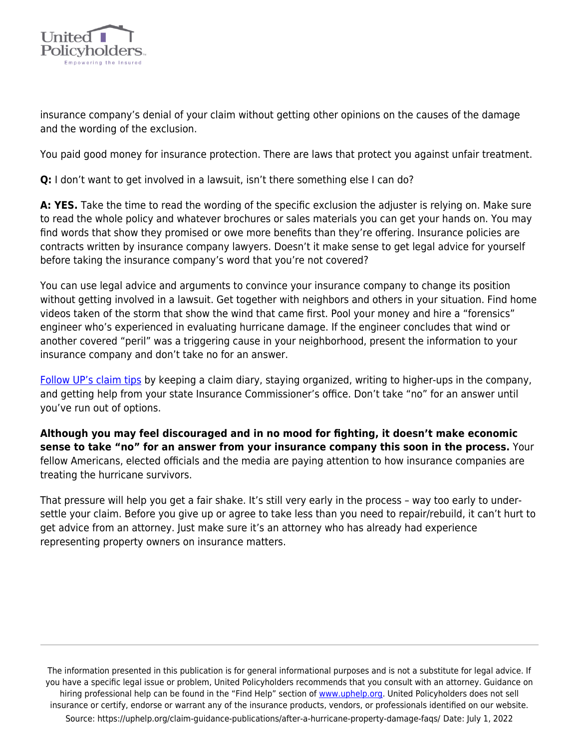

insurance company's denial of your claim without getting other opinions on the causes of the damage and the wording of the exclusion.

You paid good money for insurance protection. There are laws that protect you against unfair treatment.

**Q:** I don't want to get involved in a lawsuit, isn't there something else I can do?

**A: YES.** Take the time to read the wording of the specific exclusion the adjuster is relying on. Make sure to read the whole policy and whatever brochures or sales materials you can get your hands on. You may find words that show they promised or owe more benefits than they're offering. Insurance policies are contracts written by insurance company lawyers. Doesn't it make sense to get legal advice for yourself before taking the insurance company's word that you're not covered?

You can use legal advice and arguments to convince your insurance company to change its position without getting involved in a lawsuit. Get together with neighbors and others in your situation. Find home videos taken of the storm that show the wind that came first. Pool your money and hire a "forensics" engineer who's experienced in evaluating hurricane damage. If the engineer concludes that wind or another covered "peril" was a triggering cause in your neighborhood, present the information to your insurance company and don't take no for an answer.

[Follow UP's claim tips](https://uphelp.org/claim-guidance-publications/home-inventory-and-contents-claim-tips/) by keeping a claim diary, staying organized, writing to higher-ups in the company, and getting help from your state Insurance Commissioner's office. Don't take "no" for an answer until you've run out of options.

**Although you may feel discouraged and in no mood for fighting, it doesn't make economic sense to take "no" for an answer from your insurance company this soon in the process.** Your fellow Americans, elected officials and the media are paying attention to how insurance companies are treating the hurricane survivors.

That pressure will help you get a fair shake. It's still very early in the process – way too early to undersettle your claim. Before you give up or agree to take less than you need to repair/rebuild, it can't hurt to get advice from an attorney. Just make sure it's an attorney who has already had experience representing property owners on insurance matters.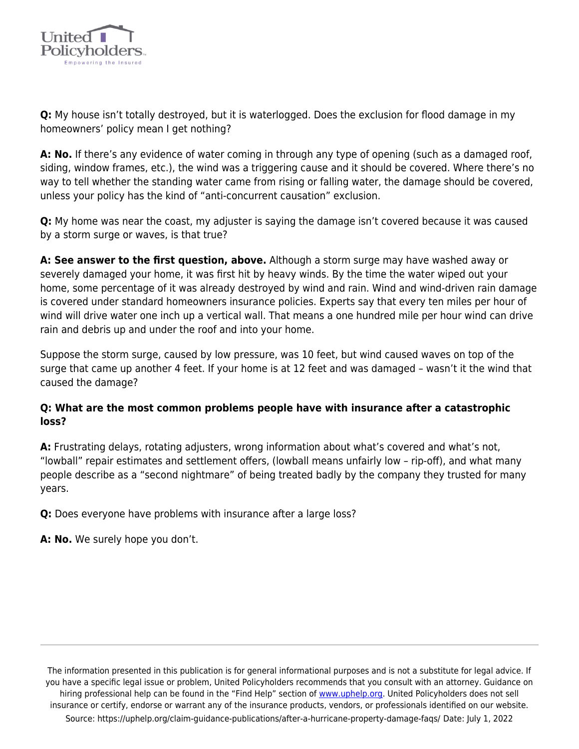

**Q:** My house isn't totally destroyed, but it is waterlogged. Does the exclusion for flood damage in my homeowners' policy mean I get nothing?

**A: No.** If there's any evidence of water coming in through any type of opening (such as a damaged roof, siding, window frames, etc.), the wind was a triggering cause and it should be covered. Where there's no way to tell whether the standing water came from rising or falling water, the damage should be covered, unless your policy has the kind of "anti-concurrent causation" exclusion.

**Q:** My home was near the coast, my adjuster is saying the damage isn't covered because it was caused by a storm surge or waves, is that true?

**A: See answer to the first question, above.** Although a storm surge may have washed away or severely damaged your home, it was first hit by heavy winds. By the time the water wiped out your home, some percentage of it was already destroyed by wind and rain. Wind and wind-driven rain damage is covered under standard homeowners insurance policies. Experts say that every ten miles per hour of wind will drive water one inch up a vertical wall. That means a one hundred mile per hour wind can drive rain and debris up and under the roof and into your home.

Suppose the storm surge, caused by low pressure, was 10 feet, but wind caused waves on top of the surge that came up another 4 feet. If your home is at 12 feet and was damaged – wasn't it the wind that caused the damage?

## **Q: What are the most common problems people have with insurance after a catastrophic loss?**

**A:** Frustrating delays, rotating adjusters, wrong information about what's covered and what's not, "lowball" repair estimates and settlement offers, (lowball means unfairly low – rip-off), and what many people describe as a "second nightmare" of being treated badly by the company they trusted for many years.

**Q:** Does everyone have problems with insurance after a large loss?

**A: No.** We surely hope you don't.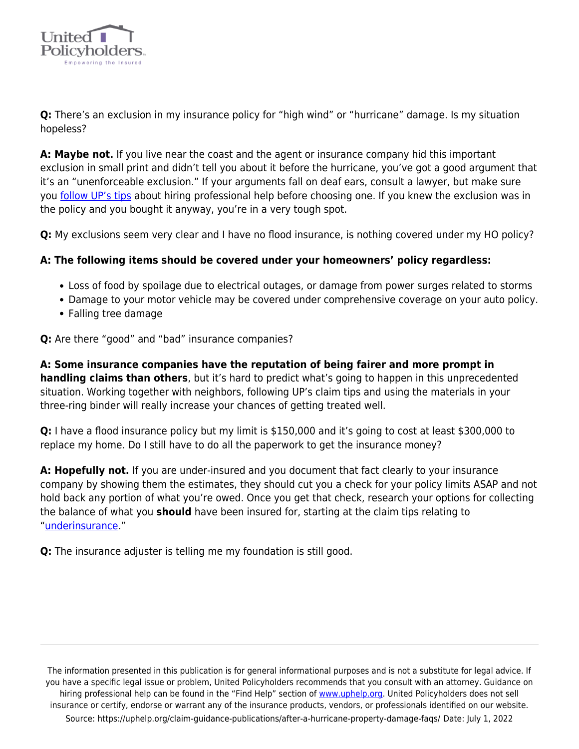

**Q:** There's an exclusion in my insurance policy for "high wind" or "hurricane" damage. Is my situation hopeless?

**A: Maybe not.** If you live near the coast and the agent or insurance company hid this important exclusion in small print and didn't tell you about it before the hurricane, you've got a good argument that it's an "unenforceable exclusion." If your arguments fall on deaf ears, consult a lawyer, but make sure you [follow UP's tips](https://uphelp.org/claim-guidance-publications/hiring-professional-help-for-an-insurance-claim/) about hiring professional help before choosing one. If you knew the exclusion was in the policy and you bought it anyway, you're in a very tough spot.

**Q:** My exclusions seem very clear and I have no flood insurance, is nothing covered under my HO policy?

## **A: The following items should be covered under your homeowners' policy regardless:**

- Loss of food by spoilage due to electrical outages, or damage from power surges related to storms
- Damage to your motor vehicle may be covered under comprehensive coverage on your auto policy.
- Falling tree damage

## **Q:** Are there "good" and "bad" insurance companies?

**A: Some insurance companies have the reputation of being fairer and more prompt in handling claims than others**, but it's hard to predict what's going to happen in this unprecedented situation. Working together with neighbors, following UP's claim tips and using the materials in your three-ring binder will really increase your chances of getting treated well.

**Q:** I have a flood insurance policy but my limit is \$150,000 and it's going to cost at least \$300,000 to replace my home. Do I still have to do all the paperwork to get the insurance money?

**A: Hopefully not.** If you are under-insured and you document that fact clearly to your insurance company by showing them the estimates, they should cut you a check for your policy limits ASAP and not hold back any portion of what you're owed. Once you get that check, research your options for collecting the balance of what you **should** have been insured for, starting at the claim tips relating to "[underinsurance](https://uphelp.org/underinsurance-help-were-you-lulled-into-a-false-sense-of-security-or-did-you-intentionally-underinsure-your-biggest-asset/)."

**Q:** The insurance adjuster is telling me my foundation is still good.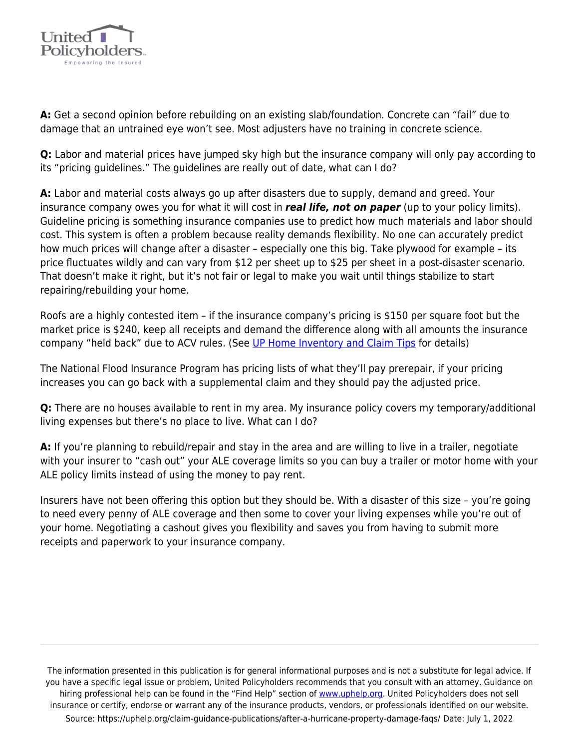

**A:** Get a second opinion before rebuilding on an existing slab/foundation. Concrete can "fail" due to damage that an untrained eye won't see. Most adjusters have no training in concrete science.

**Q:** Labor and material prices have jumped sky high but the insurance company will only pay according to its "pricing guidelines." The guidelines are really out of date, what can I do?

**A:** Labor and material costs always go up after disasters due to supply, demand and greed. Your insurance company owes you for what it will cost in *real life, not on paper* (up to your policy limits). Guideline pricing is something insurance companies use to predict how much materials and labor should cost. This system is often a problem because reality demands flexibility. No one can accurately predict how much prices will change after a disaster – especially one this big. Take plywood for example – its price fluctuates wildly and can vary from \$12 per sheet up to \$25 per sheet in a post-disaster scenario. That doesn't make it right, but it's not fair or legal to make you wait until things stabilize to start repairing/rebuilding your home.

Roofs are a highly contested item – if the insurance company's pricing is \$150 per square foot but the market price is \$240, keep all receipts and demand the difference along with all amounts the insurance company "held back" due to ACV rules. (See [UP Home Inventory and Claim Tips](https://uphelp.org/claim-guidance-publications/home-inventory-and-contents-claim-tips/) for details)

The National Flood Insurance Program has pricing lists of what they'll pay prerepair, if your pricing increases you can go back with a supplemental claim and they should pay the adjusted price.

**Q:** There are no houses available to rent in my area. My insurance policy covers my temporary/additional living expenses but there's no place to live. What can I do?

**A:** If you're planning to rebuild/repair and stay in the area and are willing to live in a trailer, negotiate with your insurer to "cash out" your ALE coverage limits so you can buy a trailer or motor home with your ALE policy limits instead of using the money to pay rent.

Insurers have not been offering this option but they should be. With a disaster of this size – you're going to need every penny of ALE coverage and then some to cover your living expenses while you're out of your home. Negotiating a cashout gives you flexibility and saves you from having to submit more receipts and paperwork to your insurance company.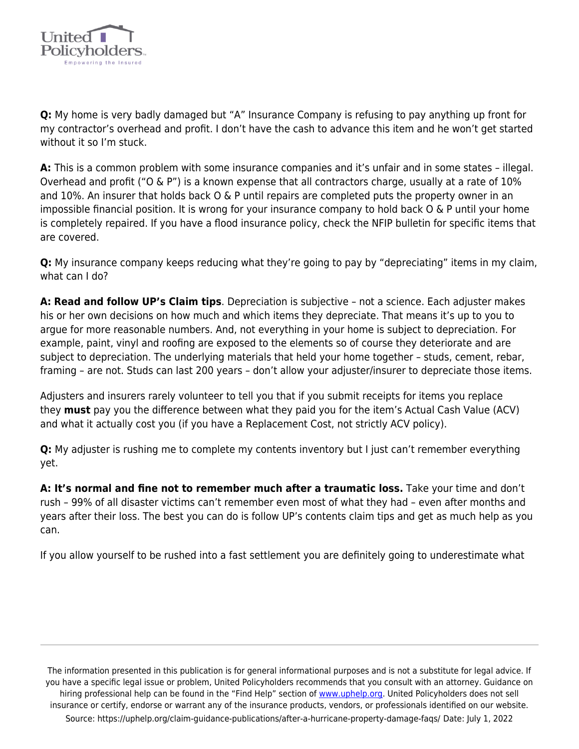

**Q:** My home is very badly damaged but "A" Insurance Company is refusing to pay anything up front for my contractor's overhead and profit. I don't have the cash to advance this item and he won't get started without it so I'm stuck.

**A:** This is a common problem with some insurance companies and it's unfair and in some states – illegal. Overhead and profit ("O & P") is a known expense that all contractors charge, usually at a rate of 10% and 10%. An insurer that holds back O & P until repairs are completed puts the property owner in an impossible financial position. It is wrong for your insurance company to hold back O & P until your home is completely repaired. If you have a flood insurance policy, check the NFIP bulletin for specific items that are covered.

**Q:** My insurance company keeps reducing what they're going to pay by "depreciating" items in my claim, what can I do?

**A: Read and follow UP's Claim tips**. Depreciation is subjective – not a science. Each adjuster makes his or her own decisions on how much and which items they depreciate. That means it's up to you to argue for more reasonable numbers. And, not everything in your home is subject to depreciation. For example, paint, vinyl and roofing are exposed to the elements so of course they deteriorate and are subject to depreciation. The underlying materials that held your home together – studs, cement, rebar, framing – are not. Studs can last 200 years – don't allow your adjuster/insurer to depreciate those items.

Adjusters and insurers rarely volunteer to tell you that if you submit receipts for items you replace they **must** pay you the difference between what they paid you for the item's Actual Cash Value (ACV) and what it actually cost you (if you have a Replacement Cost, not strictly ACV policy).

**Q:** My adjuster is rushing me to complete my contents inventory but I just can't remember everything yet.

**A: It's normal and fine not to remember much after a traumatic loss.** Take your time and don't rush – 99% of all disaster victims can't remember even most of what they had – even after months and years after their loss. The best you can do is follow UP's contents claim tips and get as much help as you can.

If you allow yourself to be rushed into a fast settlement you are definitely going to underestimate what